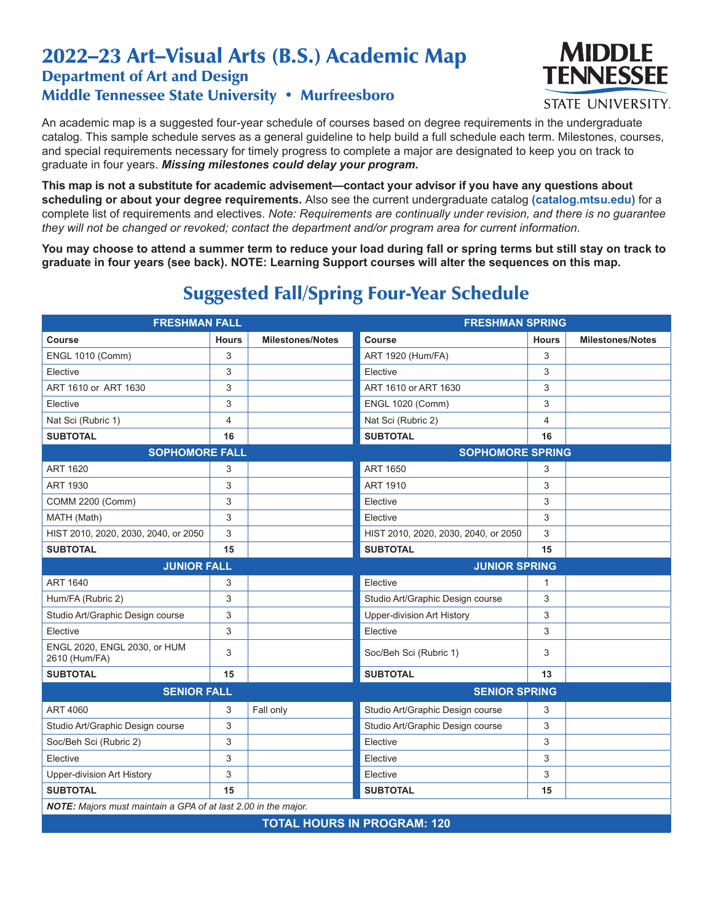## 2022–23 Art–Visual Arts (B.S.) Academic Map Department of Art and Design Middle Tennessee State University • Murfreesboro



**STATE UNIVERSITY.** 

An academic map is a suggested four-year schedule of courses based on degree requirements in the undergraduate catalog. This sample schedule serves as a general guideline to help build a full schedule each term. Milestones, courses, and special requirements necessary for timely progress to complete a major are designated to keep you on track to graduate in four years. *Missing milestones could delay your program.*

**This map is not a substitute for academic advisement—contact your advisor if you have any questions about scheduling or about your degree requirements.** Also see the current undergraduate catalog **(catalog.mtsu.edu)** for a complete list of requirements and electives. *Note: Requirements are continually under revision, and there is no guarantee they will not be changed or revoked; contact the department and/or program area for current information.*

**You may choose to attend a summer term to reduce your load during fall or spring terms but still stay on track to graduate in four years (see back). NOTE: Learning Support courses will alter the sequences on this map.**

| <b>FRESHMAN FALL</b>                                           |                |                         | <b>FRESHMAN SPRING</b>               |              |                         |  |  |
|----------------------------------------------------------------|----------------|-------------------------|--------------------------------------|--------------|-------------------------|--|--|
| <b>Course</b>                                                  | <b>Hours</b>   | <b>Milestones/Notes</b> | Course                               | <b>Hours</b> | <b>Milestones/Notes</b> |  |  |
| <b>ENGL 1010 (Comm)</b>                                        | 3              |                         | ART 1920 (Hum/FA)                    | 3            |                         |  |  |
| Elective                                                       | 3              |                         | Elective                             | 3            |                         |  |  |
| ART 1610 or ART 1630                                           | 3              |                         | ART 1610 or ART 1630                 | 3            |                         |  |  |
| Elective                                                       | 3              |                         | <b>ENGL 1020 (Comm)</b>              | 3            |                         |  |  |
| Nat Sci (Rubric 1)                                             | $\overline{4}$ |                         | Nat Sci (Rubric 2)                   | 4            |                         |  |  |
| <b>SUBTOTAL</b>                                                | 16             |                         | <b>SUBTOTAL</b>                      | 16           |                         |  |  |
| <b>SOPHOMORE FALL</b>                                          |                |                         | <b>SOPHOMORE SPRING</b>              |              |                         |  |  |
| <b>ART 1620</b>                                                | 3              |                         | <b>ART 1650</b>                      | 3            |                         |  |  |
| <b>ART 1930</b>                                                | 3              |                         | <b>ART 1910</b>                      | 3            |                         |  |  |
| COMM 2200 (Comm)                                               | 3              |                         | Elective                             | 3            |                         |  |  |
| MATH (Math)                                                    | 3              |                         | Elective                             | 3            |                         |  |  |
| HIST 2010, 2020, 2030, 2040, or 2050                           | 3              |                         | HIST 2010, 2020, 2030, 2040, or 2050 | 3            |                         |  |  |
| <b>SUBTOTAL</b>                                                | 15             |                         | <b>SUBTOTAL</b>                      | 15           |                         |  |  |
| <b>JUNIOR FALL</b>                                             |                |                         | <b>JUNIOR SPRING</b>                 |              |                         |  |  |
| <b>ART 1640</b>                                                | 3              |                         | Elective                             | 1            |                         |  |  |
| Hum/FA (Rubric 2)                                              | 3              |                         | Studio Art/Graphic Design course     | 3            |                         |  |  |
| Studio Art/Graphic Design course                               | 3              |                         | <b>Upper-division Art History</b>    | 3            |                         |  |  |
| Elective                                                       | 3              |                         | Elective                             | 3            |                         |  |  |
| ENGL 2020, ENGL 2030, or HUM<br>2610 (Hum/FA)                  | 3              |                         | Soc/Beh Sci (Rubric 1)               | 3            |                         |  |  |
| <b>SUBTOTAL</b>                                                | 15             |                         | <b>SUBTOTAL</b>                      | 13           |                         |  |  |
| <b>SENIOR FALL</b>                                             |                |                         | <b>SENIOR SPRING</b>                 |              |                         |  |  |
| <b>ART 4060</b>                                                | 3              | Fall only               | Studio Art/Graphic Design course     | 3            |                         |  |  |
| Studio Art/Graphic Design course                               | 3              |                         | Studio Art/Graphic Design course     | 3            |                         |  |  |
| Soc/Beh Sci (Rubric 2)                                         | 3              |                         | Elective                             | 3            |                         |  |  |
| Elective                                                       | 3              |                         | Elective                             | 3            |                         |  |  |
| Upper-division Art History                                     | 3              |                         | Elective                             | 3            |                         |  |  |
| <b>SUBTOTAL</b>                                                | 15             |                         | <b>SUBTOTAL</b>                      | 15           |                         |  |  |
| NOTE: Majors must maintain a GPA of at last 2.00 in the major. |                |                         |                                      |              |                         |  |  |
| <b>TOTAL HOURS IN PROGRAM: 120</b>                             |                |                         |                                      |              |                         |  |  |

## Suggested Fall/Spring Four-Year Schedule